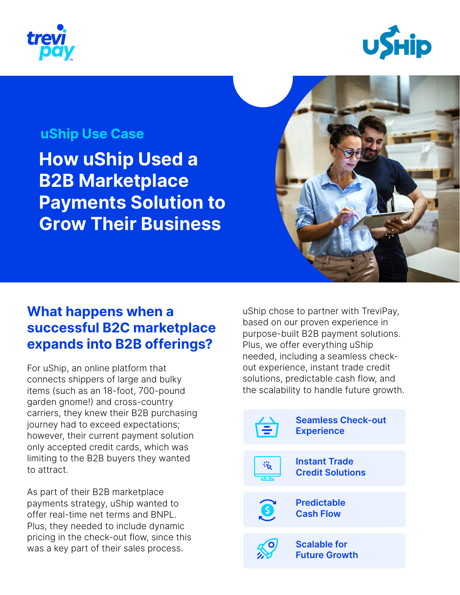



#### **uShip Use Case**

**How uShip Used a B2B Marketplace Payments Solution to Grow Their Business**



## **What happens when a successful B2C marketplace expands into B2B offerings?**

For uShip, an online platform that connects shippers of large and bulky items (such as an 18-foot, 700-pound garden gnome!) and cross-country carriers, they knew their B2B purchasing journey had to exceed expectations; however, their current payment solution only accepted credit cards, which was limiting to the B2B buyers they wanted to attract.

As part of their B2B marketplace payments strategy, uShip wanted to offer real-time net terms and BNPL. Plus, they needed to include dynamic pricing in the check-out flow, since this was a key part of their sales process.

uShip chose to partner with TreviPay, based on our proven experience in purpose-built B2B payment solutions. Plus, we offer everything uShip needed, including a seamless checkout experience, instant trade credit solutions, predictable cash flow, and the scalability to handle future growth.

|   | <b>Seamless Check-out</b><br><b>Experience</b>  |
|---|-------------------------------------------------|
|   | <b>Instant Trade</b><br><b>Credit Solutions</b> |
| S | <b>Predictable</b><br><b>Cash Flow</b>          |
|   | <b>Scalable for</b><br><b>Future Growth</b>     |